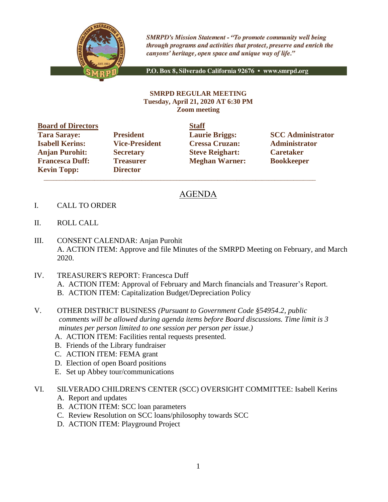

**SMRPD's Mission Statement - "To promote community well being** through programs and activities that protect, preserve and enrich the canyons' heritage, open space and unique way of life."

P.O. Box 8, Silverado California 92676 · www.smrpd.org

## **SMRPD REGULAR MEETING Tuesday, April 21, 2020 AT 6:30 PM Zoom meeting**

**Board of Directors Staff Isabell Kerins: Vice-President Cressa Cruzan: Administrator Anjan Purohit: Secretary Steve Reighart: Caretaker Francesca Duff: Treasurer Meghan Warner: Bookkeeper Kevin Topp: Director**

\_\_\_\_\_\_\_\_\_\_\_\_\_\_\_\_\_\_\_\_\_\_\_\_\_\_\_\_\_\_\_\_\_\_\_\_\_\_\_\_\_\_\_\_\_\_\_\_\_\_\_\_\_\_\_\_\_\_\_\_\_\_\_\_\_\_\_\_\_\_\_\_\_\_\_\_\_\_\_\_\_\_\_\_\_\_

**Tara Saraye: President Laurie Briggs: SCC Administrator**

## AGENDA

- I. CALL TO ORDER
- II. ROLL CALL
- III. CONSENT CALENDAR: Anjan Purohit A. ACTION ITEM: Approve and file Minutes of the SMRPD Meeting on February, and March 2020.
- IV. TREASURER'S REPORT: Francesca Duff A. ACTION ITEM: Approval of February and March financials and Treasurer's Report. B. ACTION ITEM: Capitalization Budget/Depreciation Policy
- V. OTHER DISTRICT BUSINESS *(Pursuant to Government Code §54954.2, public comments will be allowed during agenda items before Board discussions. Time limit is 3 minutes per person limited to one session per person per issue.)*
	- A. ACTION ITEM: Facilities rental requests presented.
	- B. Friends of the Library fundraiser
	- C. ACTION ITEM: FEMA grant
	- D. Election of open Board positions
	- E. Set up Abbey tour/communications
- VI. SILVERADO CHILDREN'S CENTER (SCC) OVERSIGHT COMMITTEE: Isabell Kerins
	- A. Report and updates
	- B. ACTION ITEM: SCC loan parameters
	- C. Review Resolution on SCC loans/philosophy towards SCC
	- D. ACTION ITEM: Playground Project